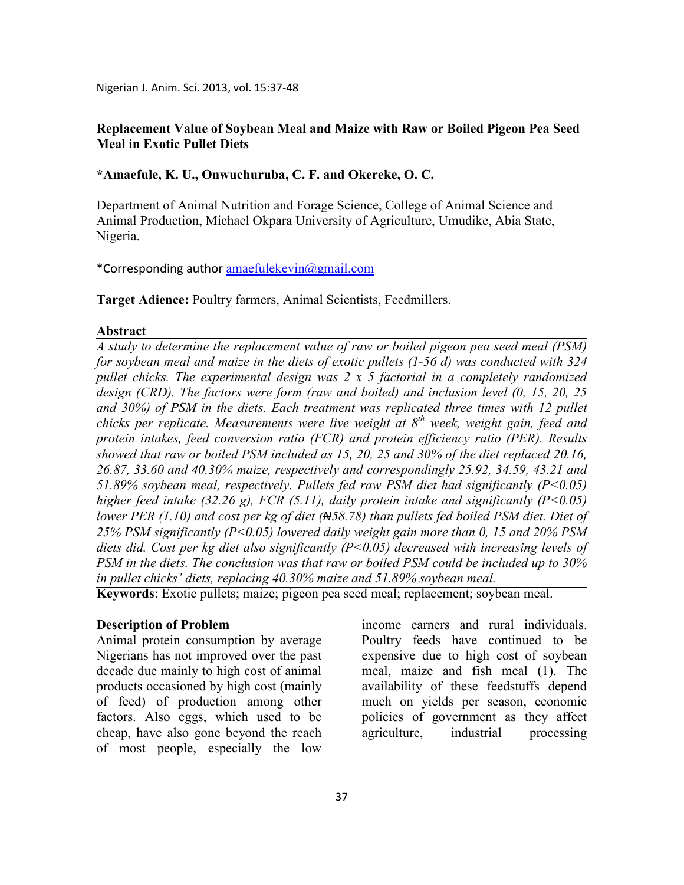Nigerian J. Anim. Sci. 2013, vol. 15:37-48

## **Replacement Value of Soybean Meal and Maize with Raw or Boiled Pigeon Pea Seed Meal in Exotic Pullet Diets**

**\*Amaefule, K. U., Onwuchuruba, C. F. and Okereke, O. C.** 

Department of Animal Nutrition and Forage Science, College of Animal Science and Animal Production, Michael Okpara University of Agriculture, Umudike, Abia State, Nigeria.

\*Corresponding author amaefulekevin@gmail.com

**Target Adience:** Poultry farmers, Animal Scientists, Feedmillers.

#### **Abstract**

*A study to determine the replacement value of raw or boiled pigeon pea seed meal (PSM) for soybean meal and maize in the diets of exotic pullets (1-56 d) was conducted with 324 pullet chicks. The experimental design was 2 x 5 factorial in a completely randomized design (CRD). The factors were form (raw and boiled) and inclusion level (0, 15, 20, 25 and 30%) of PSM in the diets. Each treatment was replicated three times with 12 pullet chicks per replicate. Measurements were live weight at 8th week, weight gain, feed and protein intakes, feed conversion ratio (FCR) and protein efficiency ratio (PER). Results showed that raw or boiled PSM included as 15, 20, 25 and 30% of the diet replaced 20.16, 26.87, 33.60 and 40.30% maize, respectively and correspondingly 25.92, 34.59, 43.21 and 51.89% soybean meal, respectively. Pullets fed raw PSM diet had significantly (P<0.05) higher feed intake (32.26 g), FCR (5.11), daily protein intake and significantly (P<0.05) lower PER (1.10) and cost per kg of diet (N58.78) than pullets fed boiled PSM diet. Diet of 25% PSM significantly (P<0.05) lowered daily weight gain more than 0, 15 and 20% PSM diets did. Cost per kg diet also significantly (P<0.05) decreased with increasing levels of PSM in the diets. The conclusion was that raw or boiled PSM could be included up to 30% in pullet chicks' diets, replacing 40.30% maize and 51.89% soybean meal.* 

**Keywords**: Exotic pullets; maize; pigeon pea seed meal; replacement; soybean meal.

### **Description of Problem**

Animal protein consumption by average Nigerians has not improved over the past decade due mainly to high cost of animal products occasioned by high cost (mainly of feed) of production among other factors. Also eggs, which used to be cheap, have also gone beyond the reach of most people, especially the low

income earners and rural individuals. Poultry feeds have continued to be expensive due to high cost of soybean meal, maize and fish meal (1). The availability of these feedstuffs depend much on yields per season, economic policies of government as they affect agriculture, industrial processing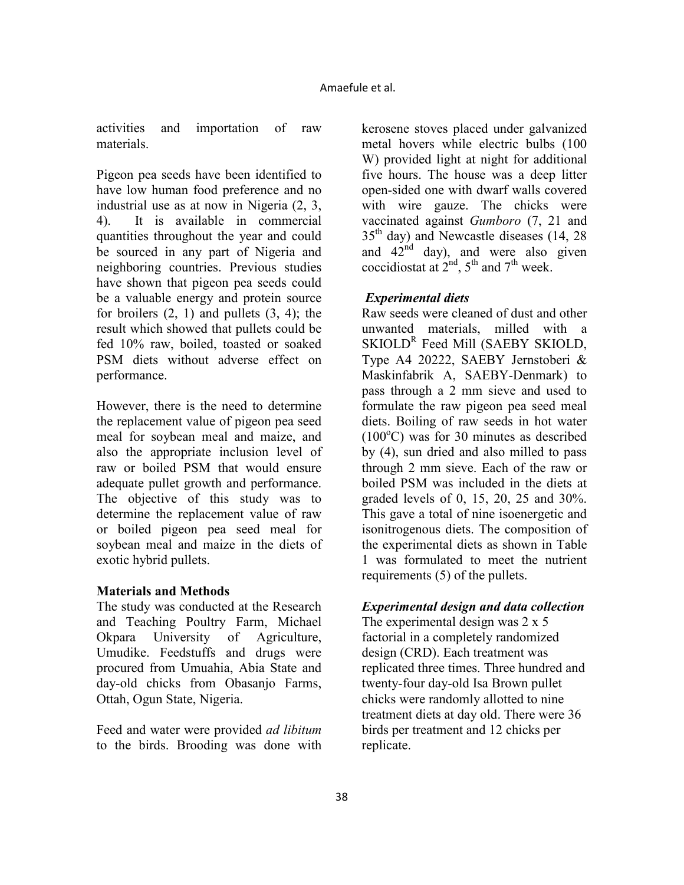activities and importation of raw materials.

Pigeon pea seeds have been identified to have low human food preference and no industrial use as at now in Nigeria (2, 3, 4). It is available in commercial quantities throughout the year and could be sourced in any part of Nigeria and neighboring countries. Previous studies have shown that pigeon pea seeds could be a valuable energy and protein source for broilers  $(2, 1)$  and pullets  $(3, 4)$ ; the result which showed that pullets could be fed 10% raw, boiled, toasted or soaked PSM diets without adverse effect on performance.

However, there is the need to determine the replacement value of pigeon pea seed meal for soybean meal and maize, and also the appropriate inclusion level of raw or boiled PSM that would ensure adequate pullet growth and performance. The objective of this study was to determine the replacement value of raw or boiled pigeon pea seed meal for soybean meal and maize in the diets of exotic hybrid pullets.

### **Materials and Methods**

The study was conducted at the Research and Teaching Poultry Farm, Michael Okpara University of Agriculture, Umudike. Feedstuffs and drugs were procured from Umuahia, Abia State and day-old chicks from Obasanjo Farms, Ottah, Ogun State, Nigeria.

Feed and water were provided *ad libitum* to the birds. Brooding was done with

kerosene stoves placed under galvanized metal hovers while electric bulbs (100 W) provided light at night for additional five hours. The house was a deep litter open-sided one with dwarf walls covered with wire gauze. The chicks were vaccinated against *Gumboro* (7, 21 and 35<sup>th</sup> day) and Newcastle diseases (14, 28) and  $42<sup>nd</sup>$  day), and were also given coccidiostat at  $2<sup>nd</sup>$ ,  $5<sup>th</sup>$  and  $7<sup>th</sup>$  week.

# *Experimental diets*

Raw seeds were cleaned of dust and other unwanted materials, milled with a SKIOLD<sup>R</sup> Feed Mill (SAEBY SKIOLD, Type A4 20222, SAEBY Jernstoberi & Maskinfabrik A, SAEBY-Denmark) to pass through a 2 mm sieve and used to formulate the raw pigeon pea seed meal diets. Boiling of raw seeds in hot water  $(100^{\circ}$ C) was for 30 minutes as described by (4), sun dried and also milled to pass through 2 mm sieve. Each of the raw or boiled PSM was included in the diets at graded levels of 0, 15, 20, 25 and 30%. This gave a total of nine isoenergetic and isonitrogenous diets. The composition of the experimental diets as shown in Table 1 was formulated to meet the nutrient requirements (5) of the pullets.

# *Experimental design and data collection*

The experimental design was 2 x 5 factorial in a completely randomized design (CRD). Each treatment was replicated three times. Three hundred and twenty-four day-old Isa Brown pullet chicks were randomly allotted to nine treatment diets at day old. There were 36 birds per treatment and 12 chicks per replicate.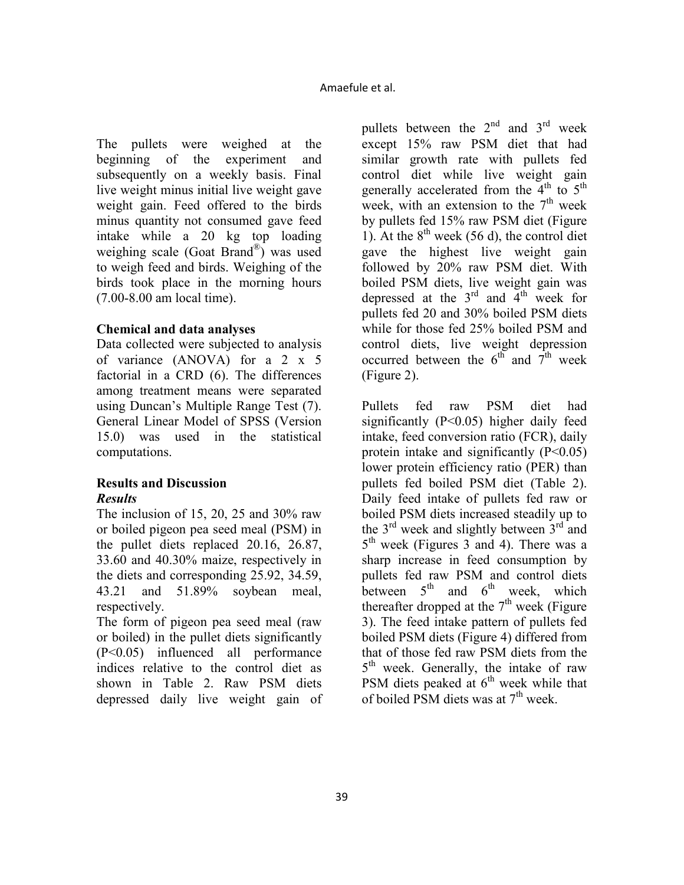The pullets were weighed at the beginning of the experiment and subsequently on a weekly basis. Final live weight minus initial live weight gave weight gain. Feed offered to the birds minus quantity not consumed gave feed intake while a 20 kg top loading weighing scale (Goat Brand® ) was used to weigh feed and birds. Weighing of the birds took place in the morning hours (7.00-8.00 am local time).

# **Chemical and data analyses**

Data collected were subjected to analysis of variance (ANOVA) for a 2 x 5 factorial in a CRD (6). The differences among treatment means were separated using Duncan's Multiple Range Test (7). General Linear Model of SPSS (Version 15.0) was used in the statistical computations.

## **Results and Discussion**  *Results*

The inclusion of 15, 20, 25 and 30% raw or boiled pigeon pea seed meal (PSM) in the pullet diets replaced 20.16, 26.87, 33.60 and 40.30% maize, respectively in the diets and corresponding 25.92, 34.59, 43.21 and 51.89% soybean meal, respectively.

The form of pigeon pea seed meal (raw or boiled) in the pullet diets significantly (P<0.05) influenced all performance indices relative to the control diet as shown in Table 2. Raw PSM diets depressed daily live weight gain of pullets between the  $2<sup>nd</sup>$  and  $3<sup>rd</sup>$  week except 15% raw PSM diet that had similar growth rate with pullets fed control diet while live weight gain generally accelerated from the  $4<sup>th</sup>$  to  $5<sup>th</sup>$ week, with an extension to the  $7<sup>th</sup>$  week by pullets fed 15% raw PSM diet (Figure 1). At the  $8<sup>th</sup>$  week (56 d), the control diet gave the highest live weight gain followed by 20% raw PSM diet. With boiled PSM diets, live weight gain was depressed at the  $3<sup>rd</sup>$  and  $4<sup>th</sup>$  week for pullets fed 20 and 30% boiled PSM diets while for those fed 25% boiled PSM and control diets, live weight depression occurred between the  $6^{th}$  and  $7^{th}$  week (Figure 2).

Pullets fed raw PSM diet had significantly  $(P<0.05)$  higher daily feed intake, feed conversion ratio (FCR), daily protein intake and significantly  $(P<0.05)$ lower protein efficiency ratio (PER) than pullets fed boiled PSM diet (Table 2). Daily feed intake of pullets fed raw or boiled PSM diets increased steadily up to the  $3<sup>rd</sup>$  week and slightly between  $3<sup>rd</sup>$  and 5 th week (Figures 3 and 4). There was a sharp increase in feed consumption by pullets fed raw PSM and control diets between  $5<sup>th</sup>$  and  $6<sup>th</sup>$  week, which thereafter dropped at the  $7<sup>th</sup>$  week (Figure 3). The feed intake pattern of pullets fed boiled PSM diets (Figure 4) differed from that of those fed raw PSM diets from the 5<sup>th</sup> week. Generally, the intake of raw PSM diets peaked at  $6<sup>th</sup>$  week while that of boiled PSM diets was at  $7<sup>th</sup>$  week.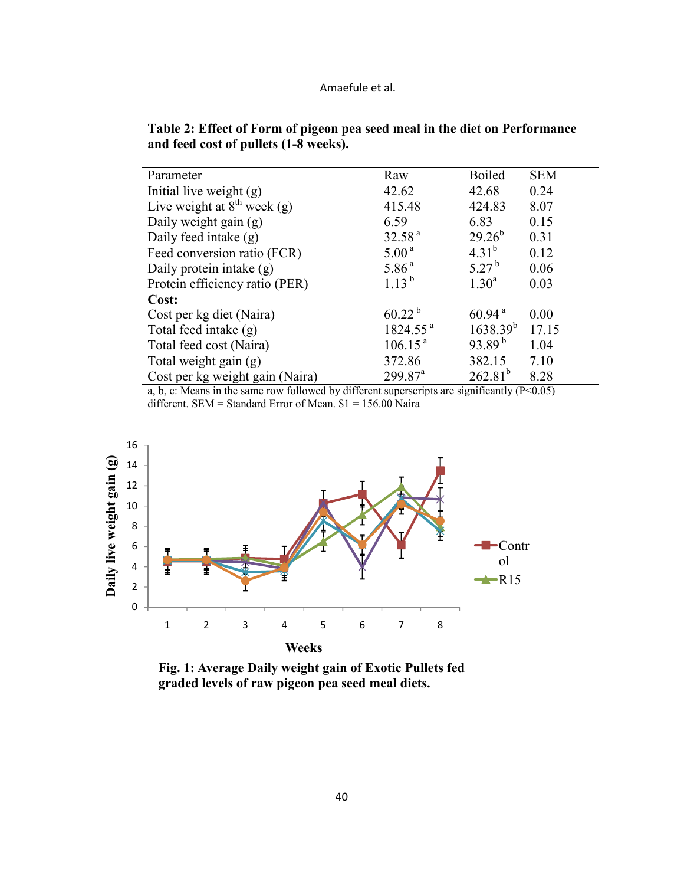| Parameter                               | Raw                   | <b>Boiled</b>      | <b>SEM</b> |
|-----------------------------------------|-----------------------|--------------------|------------|
| Initial live weight (g)                 | 42.62                 | 42.68              | 0.24       |
| Live weight at $8^{\text{th}}$ week (g) | 415.48                | 424.83             | 8.07       |
| Daily weight gain (g)                   | 6.59                  | 6.83               | 0.15       |
| Daily feed intake (g)                   | 32.58 <sup>a</sup>    | $29.26^{b}$        | 0.31       |
| Feed conversion ratio (FCR)             | 5.00 <sup>a</sup>     | $4.31^{b}$         | 0.12       |
| Daily protein intake (g)                | 5.86 <sup>a</sup>     | $5.27^{b}$         | 0.06       |
| Protein efficiency ratio (PER)          | $1.13^{b}$            | $1.30^a$           | 0.03       |
| Cost:                                   |                       |                    |            |
| Cost per kg diet (Naira)                | $60.22^{b}$           | 60.94 <sup>a</sup> | 0.00       |
| Total feed intake (g)                   | 1824.55 <sup>a</sup>  | $1638.39^{b}$      | 17.15      |
| Total feed cost (Naira)                 | 106.15 <sup>a</sup>   | $93.89^{b}$        | 1.04       |
| Total weight gain (g)                   | 372.86                | 382.15             | 7.10       |
| Cost per kg weight gain (Naira)         | $299.87$ <sup>a</sup> | $262.81^{b}$       | 8.28       |

|                                       | Table 2: Effect of Form of pigeon pea seed meal in the diet on Performance |
|---------------------------------------|----------------------------------------------------------------------------|
| and feed cost of pullets (1-8 weeks). |                                                                            |

a, b, c: Means in the same row followed by different superscripts are significantly  $(P<0.05)$ different. SEM = Standard Error of Mean. \$1 = 156.00 Naira



**Fig. 1: Average Daily weight gain of Exotic Pullets fed graded levels of raw pigeon pea seed meal diets.**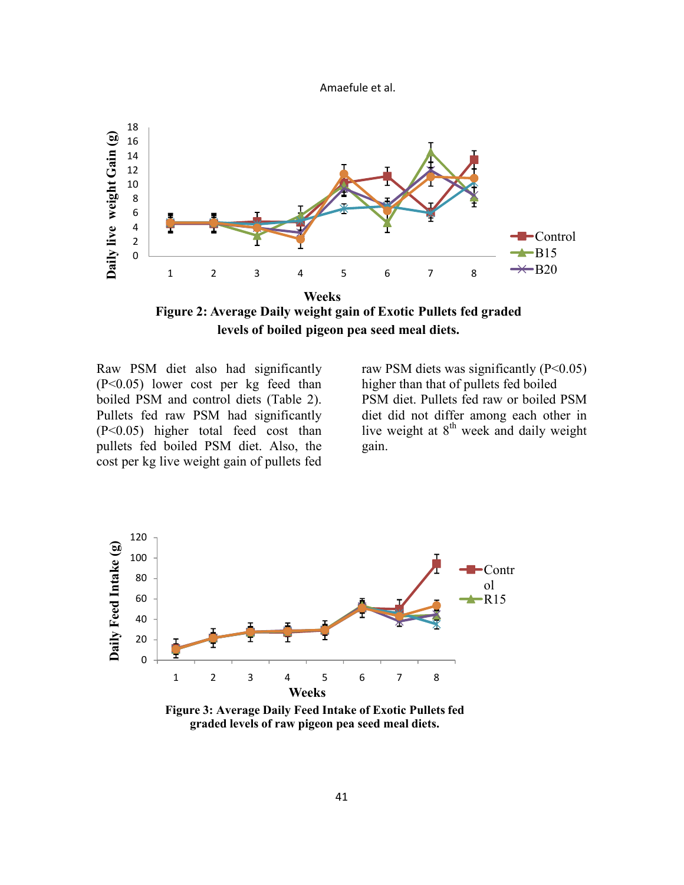

**Figure 2: Average Daily weight gain of Exotic Pullets fed graded levels of boiled pigeon pea seed meal diets.**

Raw PSM diet also had significantly (P<0.05) lower cost per kg feed than boiled PSM and control diets (Table 2). Pullets fed raw PSM had significantly (P<0.05) higher total feed cost than pullets fed boiled PSM diet. Also, the cost per kg live weight gain of pullets fed

raw PSM diets was significantly  $(P<0.05)$ higher than that of pullets fed boiled PSM diet. Pullets fed raw or boiled PSM diet did not differ among each other in live weight at 8<sup>th</sup> week and daily weight gain.



**Figure 3: Average Daily Feed Intake of Exotic Pullets fed graded levels of raw pigeon pea seed meal diets.**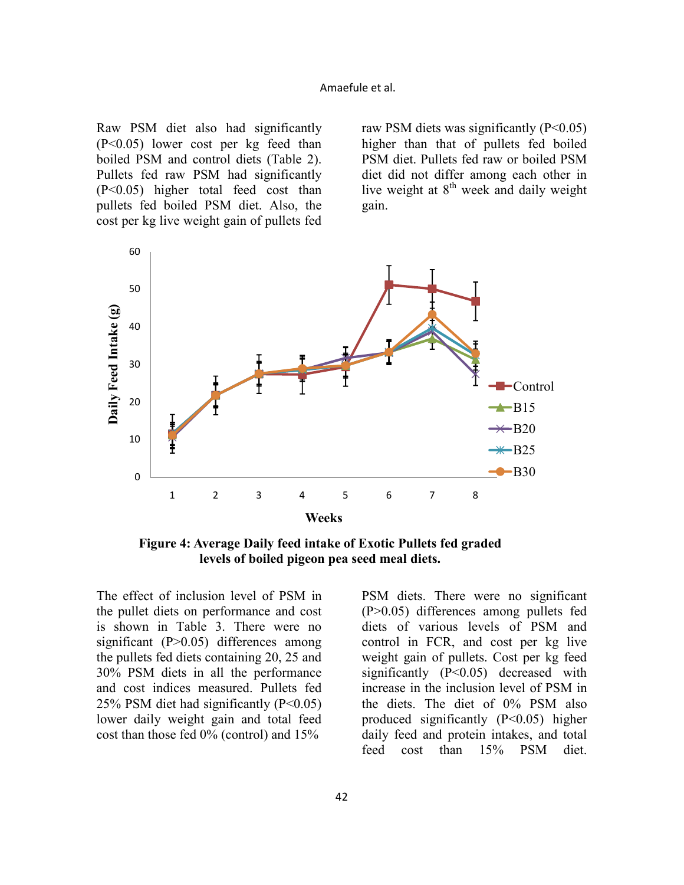Raw PSM diet also had significantly (P<0.05) lower cost per kg feed than boiled PSM and control diets (Table 2). Pullets fed raw PSM had significantly (P<0.05) higher total feed cost than pullets fed boiled PSM diet. Also, the cost per kg live weight gain of pullets fed

raw PSM diets was significantly  $(P<0.05)$ higher than that of pullets fed boiled PSM diet. Pullets fed raw or boiled PSM diet did not differ among each other in live weight at 8<sup>th</sup> week and daily weight gain.



**Figure 4: Average Daily feed intake of Exotic Pullets fed graded levels of boiled pigeon pea seed meal diets.**

The effect of inclusion level of PSM in the pullet diets on performance and cost is shown in Table 3. There were no significant (P>0.05) differences among the pullets fed diets containing 20, 25 and 30% PSM diets in all the performance and cost indices measured. Pullets fed 25% PSM diet had significantly  $(P<0.05)$ lower daily weight gain and total feed cost than those fed 0% (control) and 15%

PSM diets. There were no significant (P>0.05) differences among pullets fed diets of various levels of PSM and control in FCR, and cost per kg live weight gain of pullets. Cost per kg feed significantly  $(P<0.05)$  decreased with increase in the inclusion level of PSM in the diets. The diet of 0% PSM also produced significantly (P<0.05) higher daily feed and protein intakes, and total feed cost than 15% PSM diet.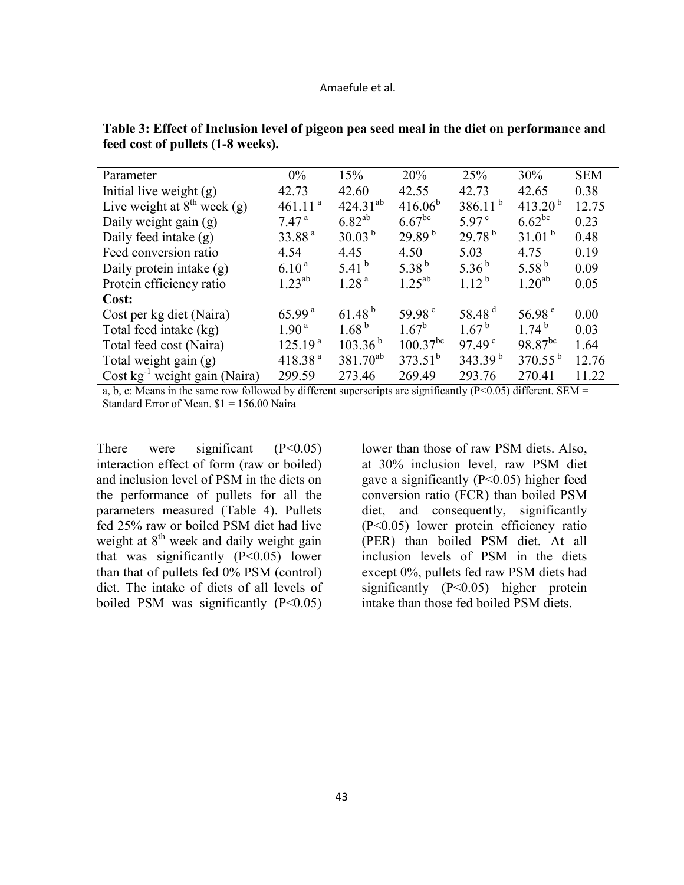| Parameter                          | $0\%$               | 15%               | 20%                  | 25%                 | 30%                 | <b>SEM</b> |
|------------------------------------|---------------------|-------------------|----------------------|---------------------|---------------------|------------|
| Initial live weight $(g)$          | 42.73               | 42.60             | 42.55                | 42.73               | 42.65               | 0.38       |
| Live weight at $8th$ week (g)      | 461.11 <sup>a</sup> | $424.31^{ab}$     | $416.06^{b}$         | $386.11^{b}$        | 413.20 <sup>b</sup> | 12.75      |
| Daily weight gain (g)              | 7.47 <sup>a</sup>   | $6.82^{ab}$       | $6.67$ <sup>bc</sup> | $5.97^{\circ}$      | $6.62^{bc}$         | 0.23       |
| Daily feed intake (g)              | 33.88 <sup>a</sup>  | $30.03^{b}$       | 29.89 <sup>b</sup>   | $29.78^{b}$         | $31.01^{b}$         | 0.48       |
| Feed conversion ratio              | 4.54                | 4.45              | 4.50                 | 5.03                | 4.75                | 0.19       |
| Daily protein intake (g)           | $6.10^{a}$          | 5.41 $^{\rm b}$   | 5.38 $^{b}$          | 5.36 $^{b}$         | 5.58 $^{b}$         | 0.09       |
| Protein efficiency ratio           | $1.23^{ab}$         | 1.28 <sup>a</sup> | $1.25^{ab}$          | $1.12^{b}$          | $1.20^{ab}$         | 0.05       |
| Cost:                              |                     |                   |                      |                     |                     |            |
| Cost per kg diet (Naira)           | 65.99 <sup>a</sup>  | $61.48^{b}$       | 59.98 $^{\circ}$     | 58.48 <sup>d</sup>  | 56.98 $^{\circ}$    | 0.00       |
| Total feed intake (kg)             | 1.90 <sup>a</sup>   | 1.68 <sup>b</sup> | $1.67^b$             | $1.67^{b}$          | $174^{b}$           | 0.03       |
| Total feed cost (Naira)            | 125.19 <sup>a</sup> | $103.36^{b}$      | $100.37^{bc}$        | 97.49 <sup>c</sup>  | $98.87^{bc}$        | 1.64       |
| Total weight gain (g)              | 418.38 <sup>a</sup> | $381.70^{ab}$     | $373.51^{b}$         | 343.39 <sup>b</sup> | $370.55^{b}$        | 12.76      |
| Cost $kg^{-1}$ weight gain (Naira) | 299.59              | 273.46            | 269.49               | 293.76              | 270.41              | 11.22      |

**Table 3: Effect of Inclusion level of pigeon pea seed meal in the diet on performance and feed cost of pullets (1-8 weeks).** 

a, b, c: Means in the same row followed by different superscripts are significantly  $(P<0.05)$  different. SEM = Standard Error of Mean. \$1 = 156.00 Naira

There were significant  $(P<0.05)$ interaction effect of form (raw or boiled) and inclusion level of PSM in the diets on the performance of pullets for all the parameters measured (Table 4). Pullets fed 25% raw or boiled PSM diet had live weight at  $8<sup>th</sup>$  week and daily weight gain that was significantly  $(P<0.05)$  lower than that of pullets fed 0% PSM (control) diet. The intake of diets of all levels of boiled PSM was significantly  $(P<0.05)$ 

lower than those of raw PSM diets. Also, at 30% inclusion level, raw PSM diet gave a significantly (P<0.05) higher feed conversion ratio (FCR) than boiled PSM diet, and consequently, significantly (P<0.05) lower protein efficiency ratio (PER) than boiled PSM diet. At all inclusion levels of PSM in the diets except 0%, pullets fed raw PSM diets had significantly (P<0.05) higher protein intake than those fed boiled PSM diets.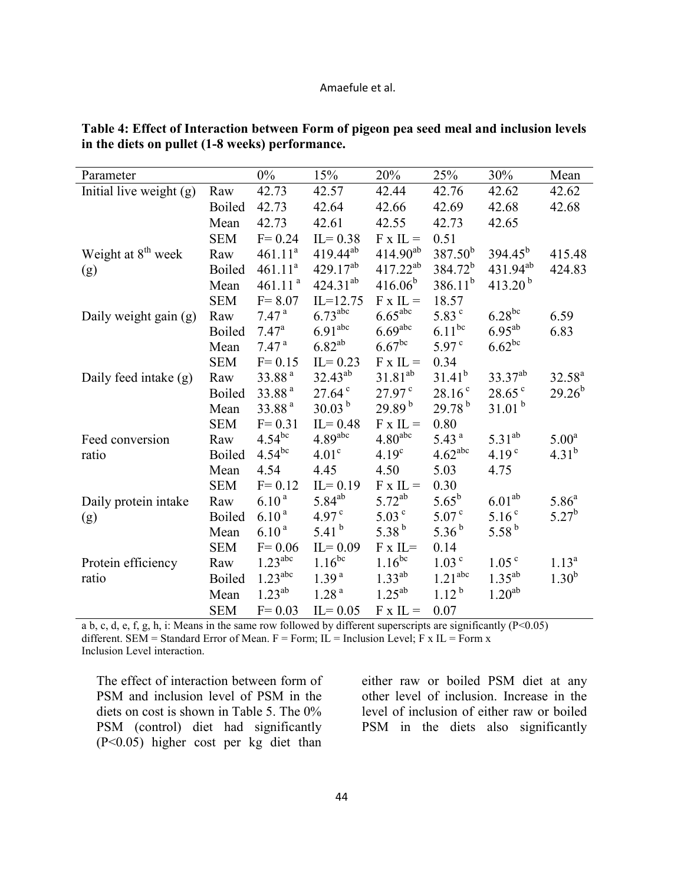| Parameter                      |               | $0\%$               | 15%                   | 20%                   | 25%                   | 30%                 | Mean              |
|--------------------------------|---------------|---------------------|-----------------------|-----------------------|-----------------------|---------------------|-------------------|
| Initial live weight (g)        | Raw           | 42.73               | 42.57                 | 42.44                 | 42.76                 | 42.62               | 42.62             |
|                                | <b>Boiled</b> | 42.73               | 42.64                 | 42.66                 | 42.69                 | 42.68               | 42.68             |
|                                | Mean          | 42.73               | 42.61                 | 42.55                 | 42.73                 | 42.65               |                   |
|                                | <b>SEM</b>    | $F = 0.24$          | $IL = 0.38$           | $F \times IL =$       | 0.51                  |                     |                   |
| Weight at 8 <sup>th</sup> week | Raw           | 461.11 <sup>a</sup> | $419.44^{ab}$         | $414.90^{ab}$         | $387.50^{b}$          | $394.45^{b}$        | 415.48            |
| (g)                            | <b>Boiled</b> | 461.11 <sup>a</sup> | $429.17^{ab}$         | $417.22^{ab}$         | $384.72^{b}$          | $431.94^{ab}$       | 424.83            |
|                                | Mean          | 461.11 <sup>a</sup> | $424.31^{ab}$         | $416.06^{b}$          | $386.11^{b}$          | 413.20 $^{\rm b}$   |                   |
|                                | <b>SEM</b>    | $F = 8.07$          | $IL=12.75$            | $F \times IL =$       | 18.57                 |                     |                   |
| Daily weight gain (g)          | Raw           | 7.47 <sup>a</sup>   | $6.73$ <sup>abc</sup> | $6.65$ <sup>abc</sup> | 5.83 <sup>c</sup>     | $6.28^{bc}$         | 6.59              |
|                                | <b>Boiled</b> | $7.47^{\rm a}$      | 6.91 <sup>abc</sup>   | 6.69 <sup>abc</sup>   | $6.11^{bc}$           | $6.95^{ab}$         | 6.83              |
|                                | Mean          | 7.47 <sup>a</sup>   | $6.82^{ab}$           | $6.67$ <sup>bc</sup>  | $5.97^{\circ}$        | $6.62^{bc}$         |                   |
|                                | <b>SEM</b>    | $F = 0.15$          | $IL = 0.23$           | $F \times IL =$       | 0.34                  |                     |                   |
| Daily feed intake (g)          | Raw           | 33.88 <sup>a</sup>  | $32.43^{ab}$          | $31.81^{ab}$          | $31.41^{b}$           | 33.37 <sup>ab</sup> | $32.58^{a}$       |
|                                | <b>Boiled</b> | 33.88 <sup>a</sup>  | $27.64^{\circ}$       | $27.97^{\text{c}}$    | $28.16^{\circ}$       | $28.65^{\circ}$     | $29.26^{b}$       |
|                                | Mean          | 33.88 <sup>a</sup>  | $30.03^{b}$           | $29.89^{b}$           | $29.78^{b}$           | 31.01 <sup>b</sup>  |                   |
|                                | <b>SEM</b>    | $F = 0.31$          | $IL = 0.48$           | $F \times IL =$       | 0.80                  |                     |                   |
| Feed conversion                | Raw           | $4.54^{bc}$         | 4.89 <sup>abc</sup>   | 4.80 <sup>abc</sup>   | 5.43 <sup>a</sup>     | $5.31^{ab}$         | 5.00 <sup>a</sup> |
| ratio                          | <b>Boiled</b> | $4.54^{bc}$         | 4.01 <sup>c</sup>     | 4.19 <sup>c</sup>     | $4.62$ <sup>abc</sup> | 4.19 <sup>c</sup>   | $4.31^{b}$        |
|                                | Mean          | 4.54                | 4.45                  | 4.50                  | 5.03                  | 4.75                |                   |
|                                | <b>SEM</b>    | $F = 0.12$          | $IL = 0.19$           | $F \times IL =$       | 0.30                  |                     |                   |
| Daily protein intake           | Raw           | $6.10^{a}$          | $5.84^{ab}$           | $5.72^{ab}$           | $5.65^{\rm b}$        | 6.01 <sup>ab</sup>  | $5.86^{\circ}$    |
| (g)                            | <b>Boiled</b> | $6.10^{a}$          | 4.97 <sup>c</sup>     | 5.03 <sup>c</sup>     | 5.07 <sup>c</sup>     | 5.16 <sup>c</sup>   | $5.27^{b}$        |
|                                | Mean          | 6.10 <sup>a</sup>   | 5.41 $^{\rm b}$       | 5.38 $^{b}$           | $5.36^{b}$            | 5.58 $^{\rm b}$     |                   |
|                                | <b>SEM</b>    | $F = 0.06$          | $IL = 0.09$           | $F \times IL =$       | 0.14                  |                     |                   |
| Protein efficiency             | Raw           | 1.23 <sup>abc</sup> | $1.16^{bc}$           | $1.16^{bc}$           | 1.03 <sup>c</sup>     | 1.05 <sup>c</sup>   | $1.13^{a}$        |
| ratio                          | <b>Boiled</b> | 1.23 <sup>abc</sup> | 1.39 <sup>a</sup>     | $1.33^{ab}$           | 1.21 <sup>abc</sup>   | $1.35^{ab}$         | $1.30^{b}$        |
|                                | Mean          | $1.23^{ab}$         | 1.28 <sup>a</sup>     | $1.25^{ab}$           | $1.12^{b}$            | $1.20^{ab}$         |                   |
|                                | <b>SEM</b>    | $F = 0.03$          | $IL = 0.05$           | $F \times IL =$       | 0.07                  |                     |                   |

**Table 4: Effect of Interaction between Form of pigeon pea seed meal and inclusion levels in the diets on pullet (1-8 weeks) performance.** 

a b, c, d, e, f, g, h, i: Means in the same row followed by different superscripts are significantly (P<0.05) different. SEM = Standard Error of Mean.  $F = Form$ ; IL = Inclusion Level; F x IL = Form x Inclusion Level interaction.

The effect of interaction between form of PSM and inclusion level of PSM in the diets on cost is shown in Table 5. The 0% PSM (control) diet had significantly (P<0.05) higher cost per kg diet than

either raw or boiled PSM diet at any other level of inclusion. Increase in the level of inclusion of either raw or boiled PSM in the diets also significantly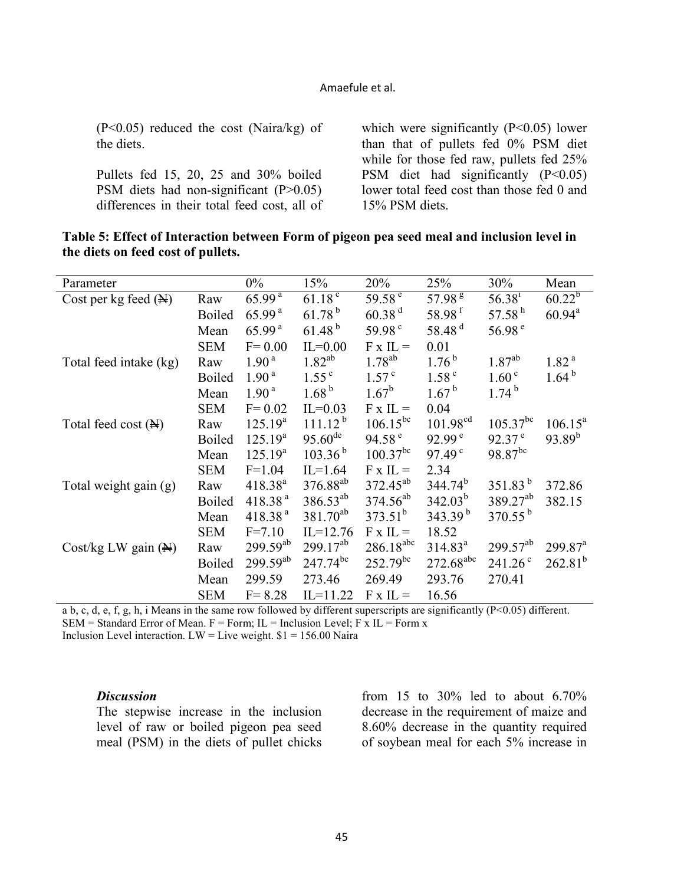(P<0.05) reduced the cost (Naira/kg) of the diets.

Pullets fed 15, 20, 25 and 30% boiled PSM diets had non-significant (P>0.05) differences in their total feed cost, all of which were significantly  $(P<0.05)$  lower than that of pullets fed 0% PSM diet while for those fed raw, pullets fed 25% PSM diet had significantly  $(P<0.05)$ lower total feed cost than those fed 0 and 15% PSM diets.

| Table 5: Effect of Interaction between Form of pigeon pea seed meal and inclusion level in |  |  |
|--------------------------------------------------------------------------------------------|--|--|
| the diets on feed cost of pullets.                                                         |  |  |

| Parameter                       |               | $0\%$              | 15%                  | 20%                             | 25%                   | 30%                | Mean                  |
|---------------------------------|---------------|--------------------|----------------------|---------------------------------|-----------------------|--------------------|-----------------------|
| Cost per kg feed $(\mathbb{N})$ | Raw           | 65.99 <sup>a</sup> | $61.18^{\circ}$      | $\overline{59.58}$ <sup>e</sup> | 57.98 <sup>g</sup>    | 56.38 <sup>1</sup> | $60.22^{b}$           |
|                                 | <b>Boiled</b> | 65.99 <sup>a</sup> | $61.78^{b}$          | 60.38 <sup>d</sup>              | 58.98 <sup>f</sup>    | 57.58 $^{\rm h}$   | $60.94^{\text{a}}$    |
|                                 | Mean          | 65.99 <sup>a</sup> | 61.48 <sup>b</sup>   | 59.98 <sup>c</sup>              | 58.48 $d$             | 56.98 $^{\circ}$   |                       |
|                                 | <b>SEM</b>    | $F = 0.00$         | $IL=0.00$            | $F \times IL =$                 | 0.01                  |                    |                       |
| Total feed intake (kg)          | Raw           | 1.90 <sup>a</sup>  | $1.82^{ab}$          | $1.78^{ab}$                     | $1.76^{b}$            | $1.87^{ab}$        | 1.82 <sup>a</sup>     |
|                                 | <b>Boiled</b> | 1.90 <sup>a</sup>  | $1.55^{\circ}$       | 1.57 <sup>c</sup>               | 1.58 <sup>c</sup>     | 1.60 <sup>c</sup>  | $1.64^{b}$            |
|                                 | Mean          | 1.90 <sup>a</sup>  | 1.68 <sup>b</sup>    | $1.67^b$                        | 1.67 <sup>b</sup>     | $1.74^{b}$         |                       |
|                                 | <b>SEM</b>    | $F = 0.02$         | $IL=0.03$            | $F \times IL =$                 | 0.04                  |                    |                       |
| Total feed cost $(\mathbb{N})$  | Raw           | $125.19^{a}$       | $111.12^{b}$         | $106.15^{bc}$                   | $101.98^{cd}$         | $105.37^{bc}$      | $106.15^a$            |
|                                 | <b>Boiled</b> | $125.19^{a}$       | $95.60^{de}$         | 94.58 $^{\circ}$                | 92.99 <sup>e</sup>    | 92.37 <sup>e</sup> | $93.89^{b}$           |
|                                 | Mean          | $125.19^{a}$       | 103.36 <sup>b</sup>  | $100.37^{bc}$                   | 97.49 <sup>c</sup>    | 98.87bc            |                       |
|                                 | <b>SEM</b>    | $F=1.04$           | $IL=1.64$            | $F \times IL =$                 | 2.34                  |                    |                       |
| Total weight gain (g)           | Raw           | $418.38^{a}$       | 376.88 <sup>ab</sup> | $372.45^{ab}$                   | $344.74^b$            | $351.83^{b}$       | 372.86                |
|                                 | <b>Boiled</b> | 418.38 $^{a}$      | $386.53^{ab}$        | $374.56^{ab}$                   | $342.03^b$            | $389.27^{ab}$      | 382.15                |
|                                 | Mean          | 418.38 $a$         | $381.70^{ab}$        | $373.51^{b}$                    | $343.39^{b}$          | $370.55^{b}$       |                       |
|                                 | <b>SEM</b>    | $F = 7.10$         | $IL=12.76$           | $F \times IL =$                 | 18.52                 |                    |                       |
| Cost/kg LW gain (A)             | Raw           | $299.59^{ab}$      | $299.17^{ab}$        | $286.18^{abc}$                  | $314.83^a$            | $299.57^{ab}$      | $299.87$ <sup>a</sup> |
|                                 | <b>Boiled</b> | $299.59^{ab}$      | $247.74^{bc}$        | $252.79^{bc}$                   | 272.68 <sup>abc</sup> | $241.26^{\circ}$   | $262.81^{b}$          |
|                                 | Mean          | 299.59             | 273.46               | 269.49                          | 293.76                | 270.41             |                       |
|                                 | <b>SEM</b>    | $F = 8.28$         | $IL=11.22$           | $F \times IL =$                 | 16.56                 |                    |                       |

a b, c, d, e, f, g, h, i Means in the same row followed by different superscripts are significantly (P<0.05) different.  $SEM = Standard Error of Mean$ .  $F = Form$ ; IL = Inclusion Level; F x IL = Form x Inclusion Level interaction. LW = Live weight.  $$1 = 156.00$  Naira

#### *Discussion*

The stepwise increase in the inclusion level of raw or boiled pigeon pea seed meal (PSM) in the diets of pullet chicks

from 15 to 30% led to about 6.70% decrease in the requirement of maize and 8.60% decrease in the quantity required of soybean meal for each 5% increase in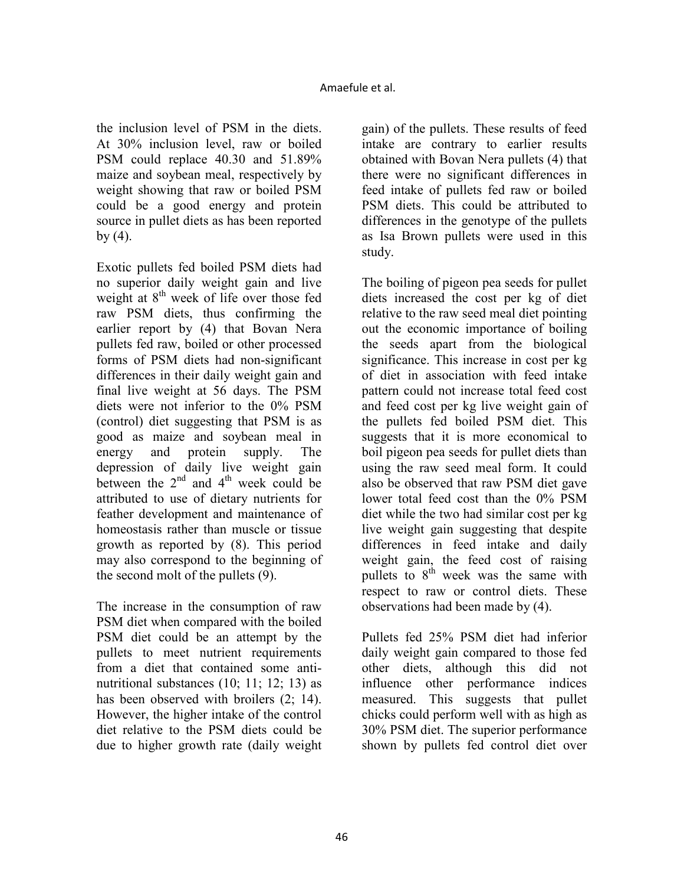the inclusion level of PSM in the diets. At 30% inclusion level, raw or boiled PSM could replace 40.30 and 51.89% maize and soybean meal, respectively by weight showing that raw or boiled PSM could be a good energy and protein source in pullet diets as has been reported  $by (4)$ .

Exotic pullets fed boiled PSM diets had no superior daily weight gain and live weight at  $8<sup>th</sup>$  week of life over those fed raw PSM diets, thus confirming the earlier report by (4) that Bovan Nera pullets fed raw, boiled or other processed forms of PSM diets had non-significant differences in their daily weight gain and final live weight at 56 days. The PSM diets were not inferior to the 0% PSM (control) diet suggesting that PSM is as good as maize and soybean meal in energy and protein supply. The depression of daily live weight gain between the  $2<sup>nd</sup>$  and  $4<sup>th</sup>$  week could be attributed to use of dietary nutrients for feather development and maintenance of homeostasis rather than muscle or tissue growth as reported by (8). This period may also correspond to the beginning of the second molt of the pullets (9).

The increase in the consumption of raw PSM diet when compared with the boiled PSM diet could be an attempt by the pullets to meet nutrient requirements from a diet that contained some antinutritional substances (10; 11; 12; 13) as has been observed with broilers  $(2; 14)$ . However, the higher intake of the control diet relative to the PSM diets could be due to higher growth rate (daily weight

gain) of the pullets. These results of feed intake are contrary to earlier results obtained with Bovan Nera pullets (4) that there were no significant differences in feed intake of pullets fed raw or boiled PSM diets. This could be attributed to differences in the genotype of the pullets as Isa Brown pullets were used in this study.

The boiling of pigeon pea seeds for pullet diets increased the cost per kg of diet relative to the raw seed meal diet pointing out the economic importance of boiling the seeds apart from the biological significance. This increase in cost per kg of diet in association with feed intake pattern could not increase total feed cost and feed cost per kg live weight gain of the pullets fed boiled PSM diet. This suggests that it is more economical to boil pigeon pea seeds for pullet diets than using the raw seed meal form. It could also be observed that raw PSM diet gave lower total feed cost than the 0% PSM diet while the two had similar cost per kg live weight gain suggesting that despite differences in feed intake and daily weight gain, the feed cost of raising pullets to  $8<sup>th</sup>$  week was the same with respect to raw or control diets. These observations had been made by (4).

Pullets fed 25% PSM diet had inferior daily weight gain compared to those fed other diets, although this did not influence other performance indices measured. This suggests that pullet chicks could perform well with as high as 30% PSM diet. The superior performance shown by pullets fed control diet over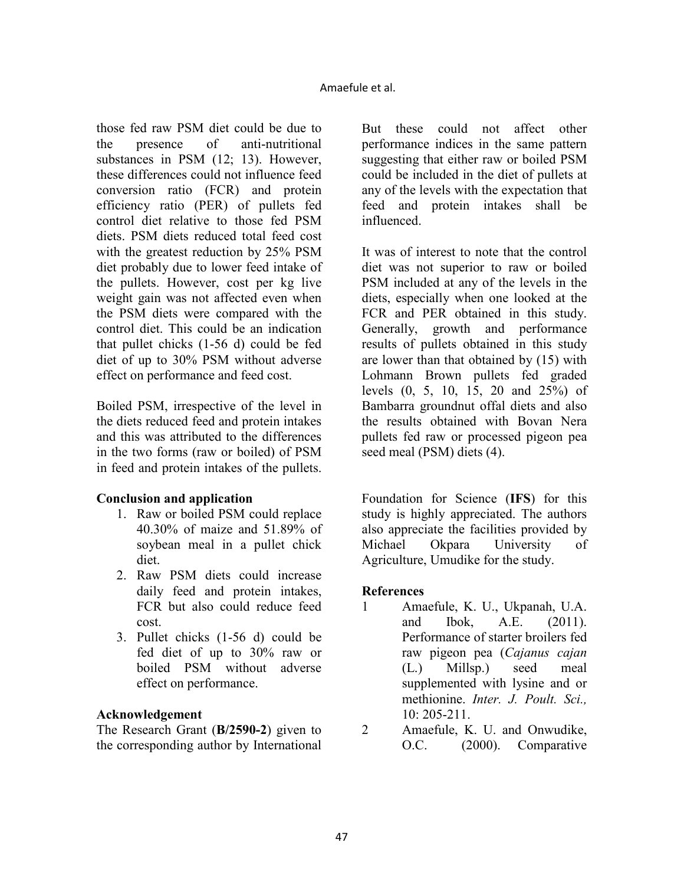those fed raw PSM diet could be due to the presence of anti-nutritional substances in PSM (12; 13). However, these differences could not influence feed conversion ratio (FCR) and protein efficiency ratio (PER) of pullets fed control diet relative to those fed PSM diets. PSM diets reduced total feed cost with the greatest reduction by 25% PSM diet probably due to lower feed intake of the pullets. However, cost per kg live weight gain was not affected even when the PSM diets were compared with the control diet. This could be an indication that pullet chicks (1-56 d) could be fed diet of up to 30% PSM without adverse effect on performance and feed cost.

Boiled PSM, irrespective of the level in the diets reduced feed and protein intakes and this was attributed to the differences in the two forms (raw or boiled) of PSM in feed and protein intakes of the pullets.

# **Conclusion and application**

- 1. Raw or boiled PSM could replace 40.30% of maize and 51.89% of soybean meal in a pullet chick diet.
- 2. Raw PSM diets could increase daily feed and protein intakes, FCR but also could reduce feed cost.
- 3. Pullet chicks (1-56 d) could be fed diet of up to 30% raw or boiled PSM without adverse effect on performance.

# **Acknowledgement**

The Research Grant (**B/2590-2**) given to the corresponding author by International But these could not affect other performance indices in the same pattern suggesting that either raw or boiled PSM could be included in the diet of pullets at any of the levels with the expectation that feed and protein intakes shall be influenced.

It was of interest to note that the control diet was not superior to raw or boiled PSM included at any of the levels in the diets, especially when one looked at the FCR and PER obtained in this study. Generally, growth and performance results of pullets obtained in this study are lower than that obtained by (15) with Lohmann Brown pullets fed graded levels (0, 5, 10, 15, 20 and 25%) of Bambarra groundnut offal diets and also the results obtained with Bovan Nera pullets fed raw or processed pigeon pea seed meal (PSM) diets (4).

Foundation for Science (**IFS**) for this study is highly appreciated. The authors also appreciate the facilities provided by Michael Okpara University of Agriculture, Umudike for the study.

# **References**

- 1 Amaefule, K. U., Ukpanah, U.A. and Ibok, A.E. (2011). Performance of starter broilers fed raw pigeon pea (*Cajanus cajan* (L.) Millsp.) seed meal supplemented with lysine and or methionine. *Inter. J. Poult. Sci.,* 10: 205-211.
- 2 Amaefule, K. U. and Onwudike, O.C. (2000). Comparative